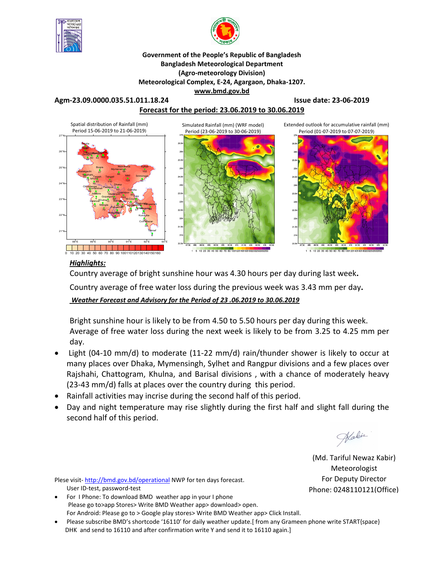



### **Government of the People's Republic of Bangladesh Bangladesh Meteorological Department (Agro-meteorology Division) Meteorological Complex, E-24, Agargaon, Dhaka-1207. www.bmd.gov.bd**

**Agm-23.09.0000.035.51.011.18.24 Issue date: 23-06-2019**

## **Forecast for the period: 23.06.2019 to 30.06.2019**



### *Highlights:*

Country average of bright sunshine hour was 4.30 hours per day during last week**.** 

Country average of free water loss during the previous week was 3.43 mm per day**.** 

*Weather Forecast and Advisory for the Period of 23 .06.2019 to 30.06.2019*

Bright sunshine hour is likely to be from 4.50 to 5.50 hours per day during this week. Average of free water loss during the next week is likely to be from 3.25 to 4.25 mm per day.

- Light (04-10 mm/d) to moderate (11-22 mm/d) rain/thunder shower is likely to occur at many places over Dhaka, Mymensingh, Sylhet and Rangpur divisions and a few places over Rajshahi, Chattogram, Khulna, and Barisal divisions , with a chance of moderately heavy (23-43 mm/d) falls at places over the country during this period.
- Rainfall activities may incrise during the second half of this period.
- Day and night temperature may rise slightly during the first half and slight fall during the second half of this period.

Wakin

(Md. Tariful Newaz Kabir) Meteorologist For Deputy Director Phone: 0248110121(Office)

Plese visit-http://bmd.gov.bd/operational NWP for ten days forecast. User ID-test, password-test

- For I Phone: To download BMD weather app in your I phone Please go to>app Stores> Write BMD Weather app> download> open. For Android: Please go to > Google play stores> Write BMD Weather app> Click Install.
- Please subscribe BMD's shortcode '16110' for daily weather update.[ from any Grameen phone write START{space} DHK and send to 16110 and after confirmation write Y and send it to 16110 again.]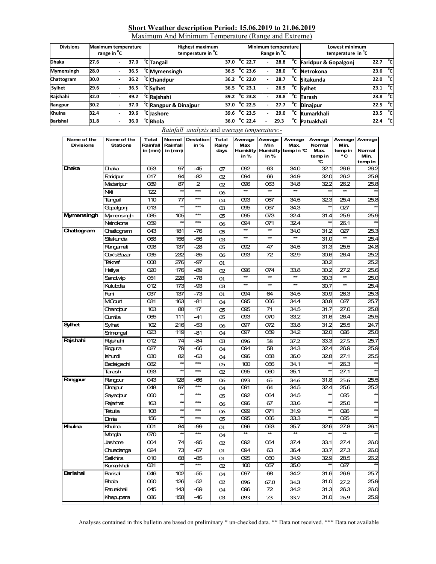### **Short Weather description Period: 15.06.2019 to 21.06.2019**

Maximum And Minimum Temperature (Range and Extreme)

| <b>Divisions</b> | <b>Maximum temperature</b><br>range in <sup>o</sup> C |                          |      | <b>Highest maximum</b><br>temperature in <sup>o</sup> C |                        |  |                   | Range in <sup>o</sup> C | Minimum temperature |              | Lowest minimum<br>temperature in <sup>°</sup> C |                     |  |
|------------------|-------------------------------------------------------|--------------------------|------|---------------------------------------------------------|------------------------|--|-------------------|-------------------------|---------------------|--------------|-------------------------------------------------|---------------------|--|
| <b>Dhaka</b>     | 27.6                                                  | $\overline{\phantom{a}}$ | 37.0 | <sup>o</sup> C Tangail                                  | 37.0                   |  | $^{\circ}$ C 22.7 | $\sim$                  | 28.8                | °c           | Faridpur & Gopalgonj                            | 22.7 $^{\circ}$ cl  |  |
| Mymensingh       | 28.0                                                  |                          | 36.5 | <sup>o</sup> C Mymensingh                               | 36.5                   |  | $^{\circ}$ C 23.6 |                         | 28.0                | °c           | Netrokona                                       | 23.6 $^{\circ}$ C   |  |
| Chattogram       | 30.0                                                  |                          |      | $36.2$ <sup>o</sup> C Chandpur                          | 36.2 $^{\circ}$ C 22.0 |  |                   |                         | 28.7                | °c           | Sitakunda                                       | 22.0 $^{\circ}$ C   |  |
| Sylhet           | 29.6                                                  |                          | 36.5 | <sup>o</sup> C Sylhet                                   | 36.5                   |  | $^{\circ}$ C 23.1 |                         | 26.9                |              | <sup>°</sup> C Sylhet                           | 23.1 $^{\circ}$ C   |  |
| Rajshahi         | 32.0                                                  |                          | 39.2 | <sup>o</sup> CRajshahi                                  | 39.2 $^{\circ}$ C 23.8 |  |                   |                         | 28.8                |              | <sup>o</sup> C Tarash                           | 23.8 <sup>o</sup> C |  |
| Rangpur          | 30.2                                                  |                          | 37.0 | <sup>o</sup> C Rangpur & Dinajpur                       | 37.0                   |  | $^{\circ}$ C 22.5 |                         | 27.7                | °c           | <b>Dinaipur</b>                                 | $22.5\degree$ C     |  |
| Khulna           | 32.4                                                  |                          | 39.6 | <sup>°</sup> C Jashore                                  | 39.6                   |  | $^{\circ}$ C 23.5 |                         | 29.0                | $^{\circ}$ c | Kumarkhali                                      | 23.5 °C             |  |
| <b>Barishal</b>  | 31.8                                                  |                          | 36.0 | <sup>o</sup> C Bhola                                    | 36.0                   |  | $^{\circ}$ C 22.4 |                         | 29.3                | °c           | Patuakhali                                      | 22.4 $^{\circ}$ C   |  |

### *Rainfall analysis* and *average temperature:-*

| Name of the<br><b>Divisions</b> | Name of the<br><b>Stations</b> | <b>Total</b><br>Rainfall<br>in (mm) | Normal<br>Rainfall<br>in (mm)  | Deviation<br>in% | <b>Total</b><br>Rainy<br>days | Average<br>Max<br>Humidity<br>in% | Average<br>Min<br><b>Humidity</b><br>in% | Average<br>Max.<br>temp in ℃ | Average<br>Normal<br><b>Max</b><br>temp in<br>℃ | Average<br>Min.<br>temp in<br>۰c | Average<br>Normal<br>Min.<br>temp in |
|---------------------------------|--------------------------------|-------------------------------------|--------------------------------|------------------|-------------------------------|-----------------------------------|------------------------------------------|------------------------------|-------------------------------------------------|----------------------------------|--------------------------------------|
| Dhaka                           | Dhaka                          | 053                                 | 97                             | $-45$            | 07                            | 092                               | 63                                       | 34.0                         | 321                                             | 26.6                             | 26.2                                 |
|                                 | Faridpur                       | 017                                 | 94                             | $-82$            | 02                            | 094                               | 66                                       | 34.9                         | 320                                             | 26.2                             | 25.8                                 |
|                                 | Madaripur                      | 089                                 | 87                             | $\overline{2}$   | 02                            | 096                               | 063                                      | 34.8                         | 32.2                                            | 26.2                             | 25.8                                 |
|                                 | Nki                            | 122                                 | $\star\star$                   | $***$            | 06                            | **                                | $\star\star$                             | $**$                         |                                                 | $\star\star$                     |                                      |
|                                 | Tangail                        | 110                                 | 77                             | $***$            | 04                            | 093                               | 067                                      | 34.5                         | 323                                             | 25.4                             | 25.8                                 |
|                                 | Gopalgonj                      | 013                                 | $\star\star$                   | $***$            | $\alpha$                      | 095                               | 067                                      | 34.3                         |                                                 | 027                              | $\star$                              |
| Mymensingh                      | Mymensingh                     | 085                                 | 105                            | ***              | 05                            | 095                               | 073                                      | 32.4                         | 31.4                                            | 25.9                             | 25.9                                 |
|                                 | Netrokona                      | 059                                 |                                | $***$            | 06                            | 094                               | 071                                      | 32.4                         |                                                 | 26.1                             |                                      |
| Chattogram                      | Chattogram                     | 043                                 | 181                            | $-76$            | 05                            | $\star\star$                      | $\star\star$                             | 34.0                         | 31.2                                            | 027                              | 25.3                                 |
|                                 | Sitakunda                      | 068                                 | 156                            | -56              | 03                            | $\star\star$                      | $\star\star$                             | $\star\star$                 | 31.0                                            | $\star\star$                     | 25.4                                 |
|                                 | Rangamati                      | 098                                 | 137                            | $-28$            | 05                            | 092                               | 47                                       | 34.5                         | 31.3                                            | 25.5                             | 24.8                                 |
|                                 | Cox'sBazar                     | 035                                 | 232                            | -85              | 06                            | 093                               | 72                                       | 329                          | 30.6                                            | 26.4                             | 25.2                                 |
|                                 | Teknaf                         | 008                                 | 276                            | -97              | 01                            |                                   |                                          |                              | 30.2                                            |                                  | 25.2                                 |
|                                 | Hatiya                         | 020                                 | 176                            | $-89$            | 02                            | 096                               | 074                                      | 33.8                         | 30.2                                            | 27.2                             | 25.6                                 |
|                                 | Sandwip                        | 051                                 | 228                            | $-78$            | 01                            | $\star\star$                      | $\overline{\ast}$                        | $\star$                      | 30.3                                            | $\star$                          | 25.0                                 |
|                                 | Kutubdia                       | 012                                 | 173                            | -93              | $\alpha$                      | $\star\star$                      | $\ast$                                   | $\star$                      | 30.7                                            | $\star\star$                     | 25.4                                 |
|                                 | Feni                           | 037                                 | 137                            | $-73$            | 01                            | 094                               | 64                                       | 34.5                         | 30.9                                            | 26.3                             | 25.3                                 |
|                                 | MCourt                         | 031                                 | 163                            | $-81$            | 04                            | 095                               | 066                                      | 34.4                         | 30.8                                            | 027                              | 25.7                                 |
|                                 | Chandour                       | 103                                 | 88                             | 17               | 05                            | 095                               | 71                                       | 34.5                         | 31.7                                            | 27.0                             | 25.8                                 |
|                                 | Qumilla                        | 065                                 | 111                            | $-41$            | 05                            | 093                               | 070                                      | 33.2                         | 31.6                                            | 26.4                             | 25.5                                 |
| <b>Sylhet</b>                   | Sylhet                         | 102                                 | 216                            | -53              | 06                            | 097                               | 072                                      | 33.8                         | 31.2                                            | 25.5                             | 24.7                                 |
|                                 | Srimongal                      | O <sub>23</sub>                     | 119                            | $-81$            | 04                            | 097                               | 059                                      | 34.2                         | 32.0                                            | 026                              | 25.0                                 |
| Rajshahi                        | Rajshahi                       | 012                                 | 74                             | -84              | <sub>03</sub>                 | 096                               | 58                                       | 37.2                         | 33.3                                            | 27.5                             | 25.7                                 |
|                                 | Bogura                         | 027                                 | 79                             | $-66$            | 04                            | 094                               | 58                                       | 34.3                         | 324                                             | 26.9                             | 25.9                                 |
|                                 | Ishurdi                        | $\infty$                            | 82                             | -63              | 04                            | 096                               | 058                                      | 36.0                         | 328                                             | 27.1                             | 25.5                                 |
|                                 | Badalgachi                     | 082                                 | $\star$                        | $***$            | 05                            | 100                               | 056                                      | 34.1                         | $\star\star$                                    | 26.3                             |                                      |
|                                 | Tarash                         | 093                                 | $\star\star$                   | $***$            | 02                            | 095                               | 000                                      | 35.1                         | $\overline{\mathbf{x}}$                         | 27.1                             |                                      |
| Rangpur                         | Rangpur                        | 043                                 | 128                            | -66              | 06                            | 093                               | 65                                       | 34.6                         | 31.8                                            | 25.6                             | 25.5                                 |
|                                 | Dinajpur                       | 048                                 | 97                             | ***              | 04                            | 091                               | 64                                       | 34.5                         | 324                                             | 25.6                             | 25.2                                 |
|                                 | Sayedpur                       | $\infty$                            | $\star\star$<br>$\overline{a}$ | ***<br>$***$     | 05                            | 092                               | 064                                      | 34.5                         | $\star\star$                                    | 025                              | $\star$                              |
|                                 | Rajarhat                       | 163                                 | $\star\star$                   | $***$            | 06                            | 096                               | 67                                       | 33.6                         | $\star\star$<br>$\star$                         | 25.0                             | $\star$                              |
|                                 | Tetulia                        | 108                                 | 夶                              | ***              | 06                            | 099                               | 071                                      | 31.9                         | ŧ                                               | 026                              |                                      |
|                                 | Dimta                          | 156                                 |                                |                  | 05                            | 095                               | 066                                      | 33.3                         |                                                 | 025                              |                                      |
| Khulna                          | Khulna                         | 001                                 | 84<br>$\star\star$             | -99<br>$***$     | 01                            | 096                               | 063<br>$\star\star$                      | 35.7<br>$\star\star$         | 326<br>$\star\star$                             | 27.8<br>$\star\star$             | 26.1                                 |
|                                 | Mongla                         | 070                                 |                                |                  | 04                            | ¥                                 |                                          |                              |                                                 |                                  |                                      |
|                                 | Jashore                        | 004                                 | 74                             | $-95$            | 02                            | 092                               | 054                                      | 37.4                         | 33.1                                            | 27.4                             | 26.0                                 |
|                                 | Chuadanga                      | 024                                 | 73                             | -67              | 01                            | 094                               | 63                                       | 36.4                         | 33.7                                            | 27.3                             | 26.0                                 |
|                                 | Satkhira                       | 010                                 | 68<br>发                        | -85              | 01                            | 095                               | 050                                      | 34.9                         | 329                                             | 28.5                             | 26.2                                 |
|                                 | Kumarkhali                     | 031                                 |                                | $***$            | 02                            | 100                               | 057                                      | 35.0                         |                                                 | 027                              |                                      |
| <b>Barishal</b>                 | Barisal                        | 046                                 | 102                            | -55              | 04                            | 097                               | 68                                       | 34.2                         | 31.6                                            | 26.9                             | 25.7                                 |
|                                 | <b>Bhola</b>                   | 060                                 | 126                            | $-52$            | 02                            | 096                               | 67.0                                     | 34.3                         | 31.0                                            | 27.2                             | 25.9                                 |
|                                 | Patuakhali                     | 045                                 | 143                            | -69              | 04                            | 096                               | 72                                       | 34.2                         | 31.3                                            | 26.3                             | 26.0                                 |
|                                 | Khepupara                      | 086                                 | 158                            | $-46$            | Q <sub>3</sub>                | 093                               | 73                                       | 33.7                         | 31.0                                            | 26.9                             | 25.9                                 |

Analyses contained in this bulletin are based on preliminary \* un-checked data. \*\* Data not received. \*\*\* Data not available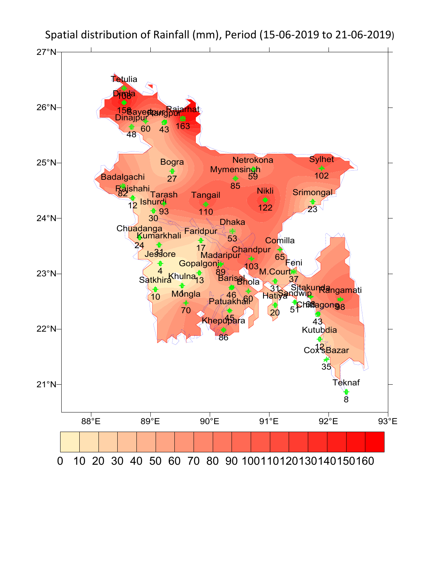

Spatial distribution of Rainfall (mm), Period (15-06-2019 to 21-06-2019)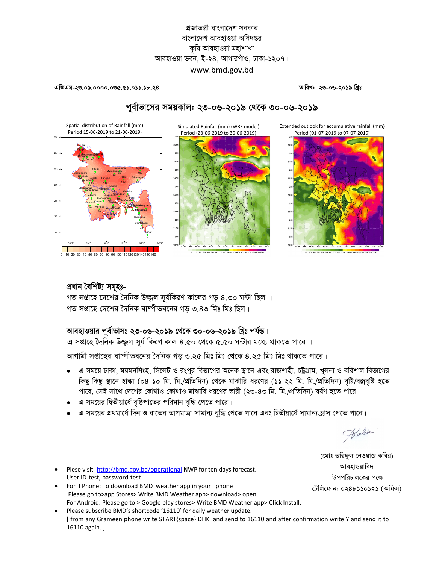## প্রজাতন্ত্রী বাংলাদেশ সরকার বাংলাদেশ আবহাওয়া অধিদপ্তর কৃষি আবহাওয়া মহাশাখা আবহাওয়া ভবন, ই-২৪, আগারগাঁও, ঢাকা-১২০৭। www.bmd.gov.bd

#### 

Spatial distribution of Rainfall (mm)

তারিখ: ২৩-০৬-২০১৯ খিঃ

## পর্বাভাসের সময়কাল: ২৩-০৬-২০১৯ থেকে ৩০-০৬-২০১৯

Simulated Rainfall (mm) (WRF model)

Extended outlook for accumulative rainfall (mm)



### প্ৰধান বৈশিষ্ট্য সমহঃ-

গত সপ্তাহে দেশের দৈনিক উজ্জল সূর্যকিরণ কালের গড় ৪.৩০ ঘন্টা ছিল । গত সপ্তাহে দেশের দৈনিক বাষ্পীভবনের গড় ৩.৪৩ মিঃ মিঃ ছিল।

# আবহাওয়ার পূর্বাভাসঃ ২৩-০৬-২০১৯ থেকে ৩০-০৬-২০১৯ খ্রিঃ পর্যন্ত।

।<br>এ সপ্তাহে দৈনিক উজ্জুল সূর্য কিরণ কাল ৪.৫০ থেকে ৫.৫০ ঘন্টার মধ্যে থাকতে পারে ।

আগামী সপ্তাহের বাঙ্গীভবনের দৈনিক গড় ৩.২৫ মিঃ মিঃ থেকে ৪.২৫ মিঃ মিঃ থাকতে পারে।

- এ সময়ে ঢাকা, ময়মনসিংহ, সিলেট ও রংপুর বিভাগের অনেক স্থানে এবং রাজশাহী, চট্রগ্রাম, খুলনা ও বরিশাল বিভাগের  $\bullet$ কিছু কিছু স্থানে হাল্কা (০৪-১০ মি. মি./প্রতিদিন) থেকে মাঝারি ধরণের (১১-২২ মি. মি./প্রতিদিন) বৃষ্টি/বজ্রবৃষ্টি হতে পারে, সেই সাথে দেশের কোথাও কোথাও মাঝারি ধরণের ভারী (২৩-৪৩ মি. মি./প্রতিদিন) বর্ষণ হতে পারে।
- এ সময়ের দ্বিতীয়ার্ধে বৃষ্ঠিপাতের পরিমান বৃদ্ধি পেতে পারে।
- এ সময়ের প্রথমার্ধে দিন ও রাতের তাপমাত্রা সামান্য বৃদ্ধি পেতে পারে এবং দ্বিতীয়ার্ধে সামান্য হ্রাস পেতে পারে।

Wakin

- Plese visit-http://bmd.gov.bd/operational NWP for ten days forecast. User ID-test, password-test
- For I Phone: To download BMD weather app in your I phone Please go to>app Stores> Write BMD Weather app> download> open. For Android: Please go to > Google play stores> Write BMD Weather app> Click Install.
- Please subscribe BMD's shortcode '16110' for daily weather update. [from any Grameen phone write START{space} DHK and send to 16110 and after confirmation write Y and send it to 16110 again. ]

(মোঃ তরিফুল নেওয়াজ কবির) আবহাওয়াবিদ উপপরিচালকের পক্ষে টেলিফোন: ০২৪৮১১০১২১ (অফিস)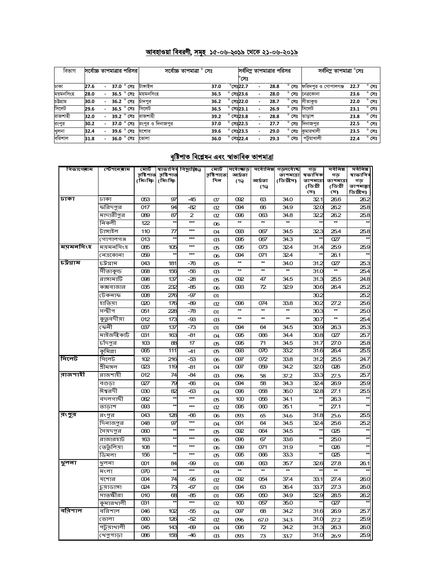### <u> আবহাওয়া বিবরণী, সমূহ ১৫-০৬-২০১৯ থেকে ২১-০৬-২০১৯</u>

| বিভাগ     | সর্বোচ্চ তাপমাত্রার পরিসর |                          |  |                       | সৰ্বোচ্চ তাপমাত্ৰা ° সেঃ               |      |  | সর্বনিম্ন তাপমাত্রার পরিসর |  |      |                | সর্বনিম তাপমাত্রা $^\circ$ সেঃ     |      |                |
|-----------|---------------------------|--------------------------|--|-----------------------|----------------------------------------|------|--|----------------------------|--|------|----------------|------------------------------------|------|----------------|
|           |                           |                          |  |                       |                                        |      |  | °সেঃ                       |  |      |                |                                    |      |                |
| ঢাকা      | 27.6                      |                          |  | 37.0 $^{\circ}$ সেঃ   | টাসাইল                                 | 37.0 |  | $^{\circ}$ সেঃ22.7         |  | 28.8 |                | $^{\circ}$ সেঃ ফরিদপুর ও গোপালগঞ্জ | 22.7 | $^{\circ}$ সেঃ |
| ময়মনসিংহ | 28.0                      | $\sim$                   |  | 36.5 ° সেঃ            | ময়মনসিংহ                              | 36.5 |  | $^{\circ}$ সেঃ23.6         |  | 28.0 |                | <b>° সেঃ নেত্রকোনা</b>             | 23.6 | $^{\circ}$ সেঃ |
| চউগ্ৰাম   | 30.0                      | $\overline{\phantom{0}}$ |  | 36.2 ° সেঃ            | চাদপুর                                 | 36.2 |  | $^{\circ}$ সেঃ22.0         |  | 28.7 |                | <b>° সেঃ</b> সীতাকভ                | 22.0 | $^{\circ}$ সেঃ |
| সিলেট     | 29.6                      | $\overline{\phantom{0}}$ |  | $36.5$ $^{\circ}$ সেঃ | সিলেট                                  | 36.5 |  | $^{\circ}$ সেঃ23.1         |  | 26.9 | $^{\circ}$ সেঃ | সিলেট                              | 23.1 | $^{\circ}$ সেঃ |
| রাজশাহী   | 32.0                      |                          |  | 39.2 ° সেঃ            | রাজশাহী                                | 39.2 |  | $^{\circ}$ সেঃ23.8         |  | 28.8 | $^{\circ}$ সেঃ | তাডাশ                              | 23.8 | $^{\circ}$ সেঃ |
| রংপুর     | 30.2                      |                          |  |                       | $37.0$ $^{\circ}$ সেঃ রংপুর ও দিনাজপুর | 37.0 |  | $^{\circ}$ সেঃ22.5         |  | 27.7 | $^{\circ}$ সেঃ | দিনাজপুর                           | 22.5 | $^{\circ}$ সেঃ |
| খুলনা     | 32.4                      | $\overline{\phantom{a}}$ |  | 39.6 ° সেঃ            | যশোর                                   | 39.6 |  | $^{\circ}$ সেঃ23.5         |  | 29.0 |                | ° <b>সেঃ</b> কুমারখালী             | 23.5 | $^{\circ}$ সেঃ |
| বরিশাল    | 31.8                      |                          |  | 36.0 $^{\circ}$ সেঃ   | ভোলা                                   | 36.0 |  | $^{\circ}$ সেঃ22.4         |  | 29.3 | $^{\circ}$ সেঃ | পটুয়াখালী                         | 22.4 | $^{\circ}$ সেঃ |

# <u>বৃষ্টিপাত বিশ্লেষন এবং স্বাভাবিক তাপমাত্রা</u>

| বিভাগেৰাম  | স্টেশ <b>লে</b> ৰাম | মোট      |                                | স্বাভাবিৰ বিছ্যুষ্ঠি⁄) | মোট                                  | সৰ্বোচ্ছাড়      | সৰ্বোনিম্ন   | $\overline{\phantom{a} \pi$ ড়সর্বোচ্চ | গড                   | সৰ্বনিম্ন            | সৰ্বনিম্ন      |
|------------|---------------------|----------|--------------------------------|------------------------|--------------------------------------|------------------|--------------|----------------------------------------|----------------------|----------------------|----------------|
|            |                     | (মিঃমিঃ  | র্ষ্টিশাত র্ষ্টিশাত<br>(মিঃমিঃ |                        | <u>র্</u> হষ্টি <b>পাতে</b> :<br>দিন | আৰ্দ্ৰতা         | আৰ্দ্ৰতা     | তাপমাত্রা<br>(ডিগ্রীস)                 | ষভাবিক               | গড                   | ষাভাবিব        |
|            |                     |          |                                |                        |                                      | (%)              | (%)          |                                        | তাপমাত্রা<br>(ডিগ্ৰী | তাপমাত্রা<br>(ডিগ্ৰী | গড<br>তাপমায়া |
|            |                     |          |                                |                        |                                      |                  |              |                                        | সে)                  | সে)                  | ডিগ্ৰীস)       |
| ाजका       | ঢাকা                | 053      | 97                             | -45                    | 07                                   | 092              | 63           | 34.0                                   | 321                  | 26.6                 | 26.2           |
|            | ফরিদপুর             | 017      | 94                             | -82                    | 02                                   | 094              | 66           | 34.9                                   | 320                  | 26.2                 | 25.8           |
|            | মাদারীপুর           | 089      | 87                             | 2                      | 02                                   | 096              | 063          | 34.8                                   | 32.2                 | 26.2                 | 25.8           |
|            | নিকলী               | 122      | $\star$                        | ***                    | 06                                   | $\star\star$     | $\star\star$ | $\star\star$                           | $\star\star$         | $\star\star$         | $\star\star$   |
|            | টাঙ্গাইল            | 110      | 77                             | ***                    | 04                                   | œз               | 067          | 34.5                                   | 323                  | 254                  | 25.8           |
|            | গোপালগঞ্জ           | 013      |                                |                        | œ                                    | 095              | 067          | 34.3                                   | **                   | 027                  |                |
| ম্য়মনসিংহ | ময়মনসিংহ           | 085      | 105                            | $\star\star\star$      | 05                                   | 095              | 073          | 324                                    | 31.4                 | 25.9                 | 25.9           |
|            | নেত্ৰকোনা           | 059      | $\star$                        | ***                    | 06                                   | 094              | 071          | 324                                    | $\star\star$         | 26.1                 | $\star\star$   |
| চউগ্ৰাম    | চউগ্ৰাম             | 043      | 181                            | -76                    | 05                                   | $\star\star$     | $\star\star$ | 34.0                                   | 31.2                 | 027                  | 25.3           |
|            | সীতাকুন্ড           | 068      | 156                            | -56                    | 03                                   | $\star\star$     | $\star\star$ | $\star\star$                           | 31.0                 |                      | 25.4           |
|            | রাঙ্গামাটি          | 098      | 137                            | $-28$                  | 05                                   | 092              | 47           | 34.5                                   | 31.3                 | 25.5                 | 24.8           |
|            | কক্সবাজার           | 035      | 232                            | $-85$                  | 06                                   | 093              | 72           | 329                                    | 30.6                 | 26.4                 | 25.2           |
|            | টেকনাফ              | $\infty$ | 276                            | -97                    | 01                                   |                  |              |                                        | 30.2                 |                      | 25.2           |
|            | হাতিয়া             | 020      | 176                            | -89                    | 02                                   | 096              | 074          | 33.8                                   | 30.2                 | 27.2                 | 25.6           |
|            | সন্দ্বীপ            | 051      | 228                            | -78                    | 01                                   | **               | $\star\star$ | $\star\star$                           | 30.3                 | $\star\star$         | 25.0           |
|            | কুতুবদীয়া          | 012      | 173                            | -93                    | 03                                   | $\star\star$     | $\star\star$ | $\star\star$                           | 30.7                 | $\star\star$         | 25.4           |
|            | ফেনী                | 037      | 137                            | -73                    | 01                                   | 094              | 64           | 34.5                                   | 30.9                 | 26.3                 | 25.3           |
|            | মাইজদীকাৰ্ট         | 031      | 163                            | -81                    | 04                                   | 095              | 066          | 34.4                                   | 30.8                 | 027                  | 25.7           |
|            | চাঁদপুর             | 103      | 88                             | 17                     | 05                                   | 095              | 71           | 34.5                                   | 31.7                 | 27.0                 | 25.8           |
|            | কুমিল্লা            | 065      | 111                            | $-41$                  | 05                                   | 093              | 070          | 33.2                                   | 31.6                 | 26.4                 | 25.5           |
| সিলেট      | সিলেট               | 102      | 216                            | -53                    | 06                                   | 097              | 072          | 33.8                                   | 31.2                 | 25.5                 | 24.7           |
|            | শ্ৰীমঙ্গল           | 023      | 119                            | -81                    | 04                                   | 097              | 059          | 34.2                                   | $\overline{320}$     | 026                  | 25.0           |
| রাজশাহী    | রাজশাহী             | 012      | 74                             | -84                    | 03                                   | 096              | 58           | 37.2                                   | 33.3                 | 27.5                 | 25.7           |
|            | বগুডা               | 027      | 79                             | -66                    | 04                                   | 094              | 58           | 34.3                                   | 324                  | 26.9                 | 25.9           |
|            | ঈশ্বরদী             | 030      | 82                             | -63                    | 04                                   | 096              | 058          | 36.0                                   | 32.8                 | 27.1                 | 25.5           |
|            | বদলগাছী             | 082      | ×                              | ***                    | 05                                   | 100              | 056          | 34.1                                   | $\star\star$         | 26.3                 | $\star\star$   |
|            | তাডাশ               | œG       | $\star$                        | ***                    | 02                                   | $\overline{095}$ | 060          | 35.1                                   | ¥                    | 27.1                 | $\star\star$   |
| রংপুর      | রংপুর               | 043      | 128                            | -66                    | 06                                   | 093              | 65           | 34.6                                   | 31.8                 | 25.6                 | 25.5           |
|            | দিনাজপুর            | 048      | 97                             | ***                    | 04                                   | 091              | 64           | 34.5                                   | 324                  | 25.6                 | 25.2           |
|            | সৈয়দপুর            | 060      |                                | ***                    | 05                                   | 092              | 064          | 34.5                                   | $\star\star$         | 025                  |                |
|            | রাজারহাট            | 163      | ×۶                             | ***                    | 06                                   | 096              | 67           | 33.6                                   | $\star\star$         | 25.0                 | $\star\star$   |
|            | ভেতুঁলিয়া          | 108      | $\star\star$                   | $\star\star\star$      | 06                                   | 099              | 071          | 31.9                                   | $\star\star$         | 026                  | $\star\star$   |
|            | ডিমলা               | 156      | $\star$                        | ***                    | 05                                   | 095              | 066          | 33.3                                   | ¥                    | 025                  | $\star\star$   |
| भूलना      | খুলনা               | 001      | 84                             | -99                    | 01                                   | 096              | 063          | 35.7                                   | 326                  | 27.8                 | 26.1           |
|            | মংলা                | 070      | $\star$                        | ***                    | 04                                   | $\star\star$     | $\star\star$ | $\star\star$                           | $\star\star$         | $\star\star$         | $\star\star$   |
|            | যশোর                | 004      | 74                             | -95                    | 02                                   | 092              | 054          | 37.4                                   | 33.1                 | 27.4                 | 26.0           |
|            | চুয়াডাঙ্গা         | 024      | 73                             | -67                    | 01                                   | 094              | 63           | 36.4                                   | 33.7                 | 27.3                 | 26.0           |
|            | সাতক্ষীরা           | 010      | 68                             | -85                    | 01                                   | 095              | 050          | 34.9                                   | 329                  | 28.5                 | 26.2           |
|            | কুমারখালী           | 031      | $\star$                        | $***$                  | 02                                   | 100              | 057          | 35.0                                   | $\star\star$         | 027                  | $\star\star$   |
| ∥ববিশাল    | বরিশাল              | 046      | 102                            | -55                    | 04                                   | 097              | 68           | 34.2                                   | 31.6                 | 26.9                 | 25.7           |
|            | ভোলা                | 060      | 126                            | -52                    | 02                                   | 096              | 67.0         | 34.3                                   | 31.0                 | 27.2                 | 25.9           |
|            | পটুয়াথালী          | 045      | 143                            | -69                    | 04                                   | 096              | 72           | 34.2                                   | 31.3                 | 26.3                 | 26.0           |
|            | খেপুপাড়া           | 086      | 158                            | -46                    | 03                                   | 093              | 73           | 33.7                                   | 31.0                 | 26.9                 | 25.9           |